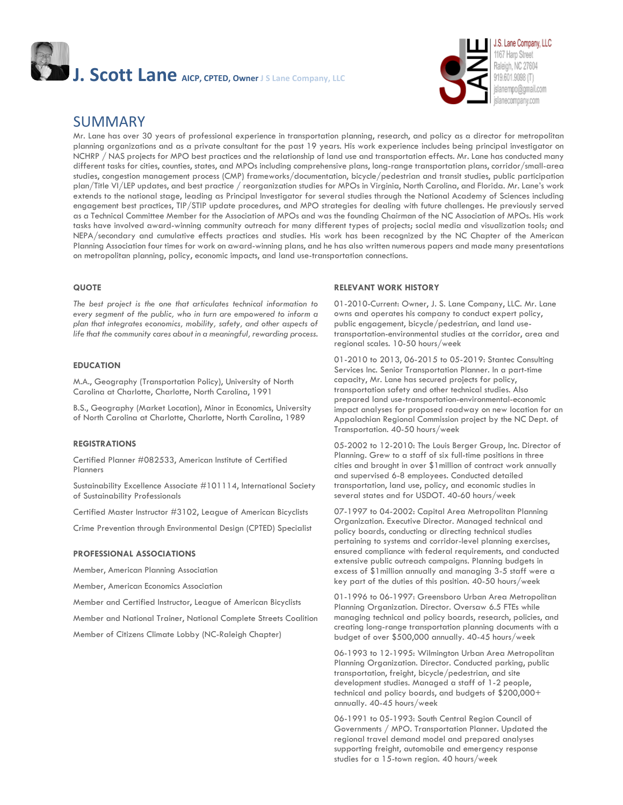

### SUMMARY

Mr. Lane has over 30 years of professional experience in transportation planning, research, and policy as a director for metropolitan planning organizations and as a private consultant for the past 19 years. His work experience includes being principal investigator on NCHRP / NAS projects for MPO best practices and the relationship of land use and transportation effects. Mr. Lane has conducted many different tasks for cities, counties, states, and MPOs including comprehensive plans, long-range transportation plans, corridor/small-area studies, congestion management process (CMP) frameworks/documentation, bicycle/pedestrian and transit studies, public participation plan/Title VI/LEP updates, and best practice / reorganization studies for MPOs in Virginia, North Carolina, and Florida. Mr. Lane's work extends to the national stage, leading as Principal Investigator for several studies through the National Academy of Sciences including engagement best practices, TIP/STIP update procedures, and MPO strategies for dealing with future challenges. He previously served as a Technical Committee Member for the Association of MPOs and was the founding Chairman of the NC Association of MPOs. His work tasks have involved award-winning community outreach for many different types of projects; social media and visualization tools; and NEPA/secondary and cumulative effects practices and studies. His work has been recognized by the NC Chapter of the American Planning Association four times for work on award-winning plans, and he has also written numerous papers and made many presentations on metropolitan planning, policy, economic impacts, and land use-transportation connections.

#### **QUOTE**

*The best project is the one that articulates technical information to every segment of the public, who in turn are empowered to inform a plan that integrates economics, mobility, safety, and other aspects of life that the community cares about in a meaningful, rewarding process.*

#### **EDUCATION**

M.A., Geography (Transportation Policy), University of North Carolina at Charlotte, Charlotte, North Carolina, 1991

B.S., Geography (Market Location), Minor in Economics, University of North Carolina at Charlotte, Charlotte, North Carolina, 1989

#### **REGISTRATIONS**

Certified Planner #082533, American Institute of Certified Planners

Sustainability Excellence Associate #101114, International Society of Sustainability Professionals

Certified Master Instructor #3102, League of American Bicyclists

Crime Prevention through Environmental Design (CPTED) Specialist

#### **PROFESSIONAL ASSOCIATIONS**

Member, American Planning Association

Member, American Economics Association

Member and Certified Instructor, League of American Bicyclists

Member and National Trainer, National Complete Streets Coalition

Member of Citizens Climate Lobby (NC-Raleigh Chapter)

#### **RELEVANT WORK HISTORY**

01-2010-Current: Owner, J. S. Lane Company, LLC. Mr. Lane owns and operates his company to conduct expert policy, public engagement, bicycle/pedestrian, and land usetransportation-environmental studies at the corridor, area and regional scales. 10-50 hours/week

01-2010 to 2013, 06-2015 to 05-2019: Stantec Consulting Services Inc. Senior Transportation Planner. In a part-time capacity, Mr. Lane has secured projects for policy, transportation safety and other technical studies. Also prepared land use-transportation-environmental-economic impact analyses for proposed roadway on new location for an Appalachian Regional Commission project by the NC Dept. of Transportation. 40-50 hours/week

05-2002 to 12-2010: The Louis Berger Group, Inc. Director of Planning. Grew to a staff of six full-time positions in three cities and brought in over \$1million of contract work annually and supervised 6-8 employees. Conducted detailed transportation, land use, policy, and economic studies in several states and for USDOT. 40-60 hours/week

07-1997 to 04-2002: Capital Area Metropolitan Planning Organization. Executive Director. Managed technical and policy boards, conducting or directing technical studies pertaining to systems and corridor-level planning exercises, ensured compliance with federal requirements, and conducted extensive public outreach campaigns. Planning budgets in excess of \$1million annually and managing 3-5 staff were a key part of the duties of this position. 40-50 hours/week

01-1996 to 06-1997: Greensboro Urban Area Metropolitan Planning Organization. Director. Oversaw 6.5 FTEs while managing technical and policy boards, research, policies, and creating long-range transportation planning documents with a budget of over \$500,000 annually. 40-45 hours/week

06-1993 to 12-1995: Wilmington Urban Area Metropolitan Planning Organization. Director. Conducted parking, public transportation, freight, bicycle/pedestrian, and site development studies. Managed a staff of 1-2 people, technical and policy boards, and budgets of \$200,000+ annually. 40-45 hours/week

06-1991 to 05-1993: South Central Region Council of Governments / MPO. Transportation Planner. Updated the regional travel demand model and prepared analyses supporting freight, automobile and emergency response studies for a 15-town region. 40 hours/week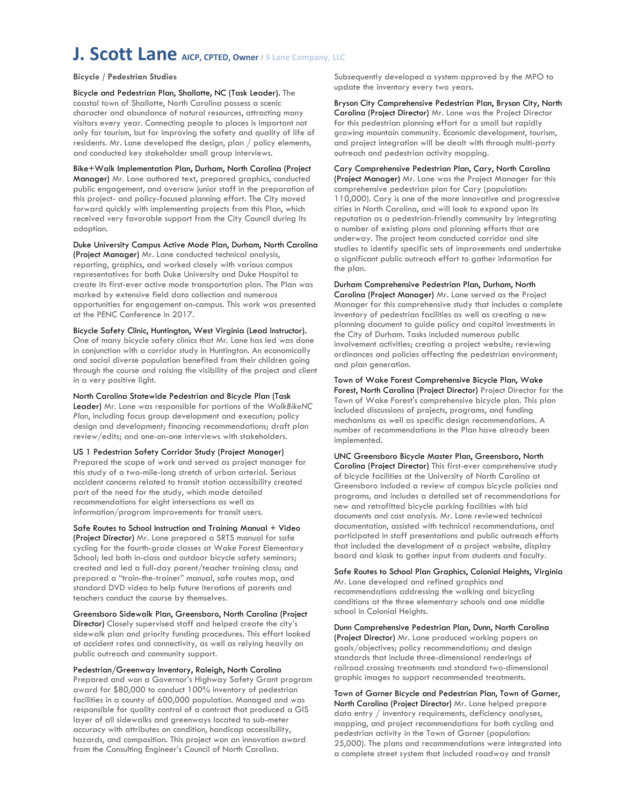**Bicycle / Pedestrian Studies**

Bicycle and Pedestrian Plan, Shallotte, NC (Task Leader). The coastal town of Shallotte, North Carolina possess a scenic character and abundance of natural resources, attracting many visitors every year. Connecting people to places is important not only for tourism, but for improving the safety and quality of life of residents. Mr. Lane developed the design, plan / policy elements, and conducted key stakeholder small group interviews.

Bike+Walk Implementation Plan, Durham, North Carolina (Project Manager) Mr. Lane authored text, prepared graphics, conducted public engagement, and oversaw junior staff in the preparation of this project- and policy-focused planning effort. The City moved forward quickly with implementing projects from this Plan, which received very favorable support from the City Council during its adoption.

Duke University Campus Active Mode Plan, Durham, North Carolina (Project Manager) Mr. Lane conducted technical analysis, reporting, graphics, and worked closely with various campus representatives for both Duke University and Duke Hospital to create its first-ever active mode transportation plan. The Plan was marked by extensive field data collection and numerous opportunities for engagement on-campus. This work was presented at the PENC Conference in 2017.

Bicycle Safety Clinic, Huntington, West Virginia (Lead Instructor). One of many bicycle safety clinics that Mr. Lane has led was done in conjunction with a corridor study in Huntington. An economically and social diverse population benefited from their children going through the course and raising the visibility of the project and client in a very positive light.

North Carolina Statewide Pedestrian and Bicycle Plan (Task Leader) Mr. Lane was responsible for portions of the *WalkBikeNC Plan*, including focus group development and execution; policy design and development; financing recommendations; draft plan review/edits; and one-on-one interviews with stakeholders.

US 1 Pedestrian Safety Corridor Study (Project Manager) Prepared the scope of work and served as project manager for this study of a two-mile-long stretch of urban arterial. Serious accident concerns related to transit station accessibility created part of the need for the study, which made detailed recommendations for eight intersections as well as information/program improvements for transit users.

Safe Routes to School Instruction and Training Manual + Video (Project Director) Mr. Lane prepared a SRTS manual for safe cycling for the fourth-grade classes at Wake Forest Elementary School; led both in-class and outdoor bicycle safety seminars; created and led a full-day parent/teacher training class; and prepared a "train-the-trainer" manual, safe routes map, and standard DVD video to help future iterations of parents and teachers conduct the course by themselves.

Greensboro Sidewalk Plan, Greensboro, North Carolina (Project Director) Closely supervised staff and helped create the city's sidewalk plan and priority funding procedures. This effort looked at accident rates and connectivity, as well as relying heavily on public outreach and community support.

Pedestrian/Greenway Inventory, Raleigh, North Carolina Prepared and won a Governor's Highway Safety Grant program award for \$80,000 to conduct 100% inventory of pedestrian facilities in a county of 600,000 population. Managed and was responsible for quality control of a contract that produced a GIS layer of all sidewalks and greenways located to sub-meter accuracy with attributes on condition, handicap accessibility, hazards, and composition. This project won an innovation award from the Consulting Engineer's Council of North Carolina.

Subsequently developed a system approved by the MPO to update the inventory every two years.

Bryson City Comprehensive Pedestrian Plan, Bryson City, North Carolina (Project Director) Mr. Lane was the Project Director for this pedestrian planning effort for a small but rapidly growing mountain community. Economic development, tourism, and project integration will be dealt with through multi-party outreach and pedestrian activity mapping.

Cary Comprehensive Pedestrian Plan, Cary, North Carolina (Project Manager) Mr. Lane was the Project Manager for this comprehensive pedestrian plan for Cary (population: 110,000). Cary is one of the more innovative and progressive cities in North Carolina, and will look to expand upon its reputation as a pedestrian-friendly community by integrating a number of existing plans and planning efforts that are underway. The project team conducted corridor and site studies to identify specific sets of improvements and undertake a significant public outreach effort to gather information for the plan.

Durham Comprehensive Pedestrian Plan, Durham, North Carolina (Project Manager) Mr. Lane served as the Project Manager for this comprehensive study that includes a complete inventory of pedestrian facilities as well as creating a new planning document to guide policy and capital investments in the City of Durham. Tasks included numerous public involvement activities; creating a project website; reviewing ordinances and policies affecting the pedestrian environment; and plan generation.

Town of Wake Forest Comprehensive Bicycle Plan, Wake Forest, North Carolina (Project Director) Project Director for the Town of Wake Forest's comprehensive bicycle plan. This plan included discussions of projects, programs, and funding mechanisms as well as specific design recommendations. A number of recommendations in the Plan have already been implemented.

UNC Greensboro Bicycle Master Plan, Greensboro, North Carolina (Project Director) This first-ever comprehensive study of bicycle facilities at the University of North Carolina at Greensboro included a review of campus bicycle policies and programs, and includes a detailed set of recommendations for new and retrofitted bicycle parking facilities with bid documents and cost analysis. Mr. Lane reviewed technical documentation, assisted with technical recommendations, and participated in staff presentations and public outreach efforts that included the development of a project website, display board and kiosk to gather input from students and faculty.

Safe Routes to School Plan Graphics, Colonial Heights, Virginia Mr. Lane developed and refined graphics and recommendations addressing the walking and bicycling conditions at the three elementary schools and one middle school in Colonial Heights.

Dunn Comprehensive Pedestrian Plan, Dunn, North Carolina (Project Director) Mr. Lane produced working papers on goals/objectives; policy recommendations; and design standards that include three-dimensional renderings of railroad crossing treatments and standard two-dimensional graphic images to support recommended treatments.

Town of Garner Bicycle and Pedestrian Plan, Town of Garner, North Carolina (Project Director) Mr. Lane helped prepare data entry / inventory requirements, deficiency analyses, mapping, and project recommendations for both cycling and pedestrian activity in the Town of Garner (population: 25,000). The plans and recommendations were integrated into a complete street system that included roadway and transit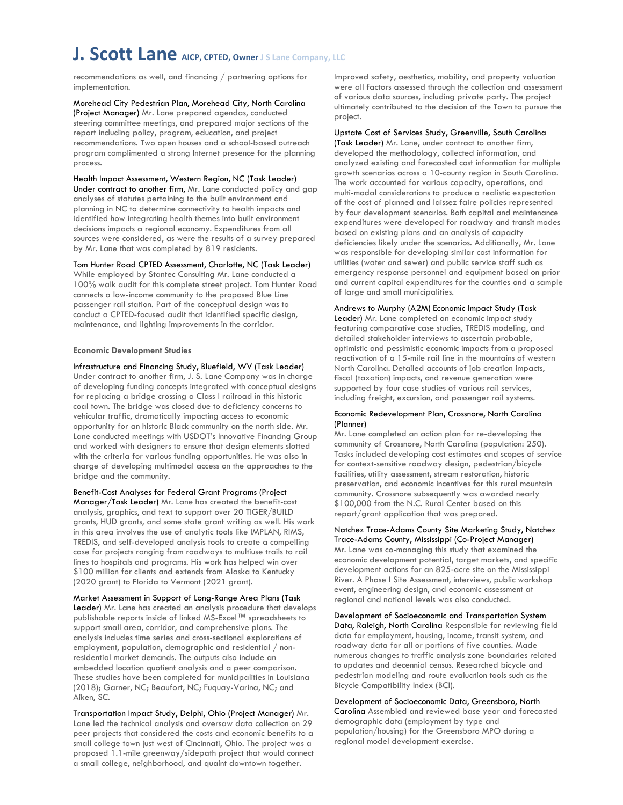recommendations as well, and financing / partnering options for implementation.

Morehead City Pedestrian Plan, Morehead City, North Carolina (Project Manager) Mr. Lane prepared agendas, conducted steering committee meetings, and prepared major sections of the report including policy, program, education, and project recommendations. Two open houses and a school-based outreach program complimented a strong Internet presence for the planning process.

Health Impact Assessment, Western Region, NC (Task Leader) Under contract to another firm, Mr. Lane conducted policy and gap analyses of statutes pertaining to the built environment and planning in NC to determine connectivity to health impacts and identified how integrating health themes into built environment decisions impacts a regional economy. Expenditures from all sources were considered, as were the results of a survey prepared by Mr. Lane that was completed by 819 residents.

Tom Hunter Road CPTED Assessment, Charlotte, NC (Task Leader) While employed by Stantec Consulting Mr. Lane conducted a 100% walk audit for this complete street project. Tom Hunter Road connects a low-income community to the proposed Blue Line passenger rail station. Part of the conceptual design was to conduct a CPTED-focused audit that identified specific design, maintenance, and lighting improvements in the corridor.

#### **Economic Development Studies**

Infrastructure and Financing Study, Bluefield, WV (Task Leader) Under contract to another firm, J. S. Lane Company was in charge of developing funding concepts integrated with conceptual designs for replacing a bridge crossing a Class I railroad in this historic coal town. The bridge was closed due to deficiency concerns to vehicular traffic, dramatically impacting access to economic opportunity for an historic Black community on the north side. Mr. Lane conducted meetings with USDOT's Innovative Financing Group and worked with designers to ensure that design elements slotted with the criteria for various funding opportunities. He was also in charge of developing multimodal access on the approaches to the bridge and the community.

Benefit-Cost Analyses for Federal Grant Programs (Project Manager/Task Leader) Mr. Lane has created the benefit-cost analysis, graphics, and text to support over 20 TIGER/BUILD grants, HUD grants, and some state grant writing as well. His work in this area involves the use of analytic tools like IMPLAN, RIMS, TREDIS, and self-developed analysis tools to create a compelling case for projects ranging from roadways to multiuse trails to rail lines to hospitals and programs. His work has helped win over \$100 million for clients and extends from Alaska to Kentucky (2020 grant) to Florida to Vermont (2021 grant).

Market Assessment in Support of Long-Range Area Plans (Task Leader) Mr. Lane has created an analysis procedure that develops publishable reports inside of linked MS-Excel™ spreadsheets to support small area, corridor, and comprehensive plans. The analysis includes time series and cross-sectional explorations of employment, population, demographic and residential / nonresidential market demands. The outputs also include an embedded location quotient analysis and a peer comparison. These studies have been completed for municipalities in Louisiana (2018); Garner, NC; Beaufort, NC; Fuquay-Varina, NC; and Aiken, SC.

Transportation Impact Study, Delphi, Ohio (Project Manager) Mr. Lane led the technical analysis and oversaw data collection on 29 peer projects that considered the costs and economic benefits to a small college town just west of Cincinnati, Ohio. The project was a proposed 1.1-mile greenway/sidepath project that would connect a small college, neighborhood, and quaint downtown together.

Improved safety, aesthetics, mobility, and property valuation were all factors assessed through the collection and assessment of various data sources, including private party. The project ultimately contributed to the decision of the Town to pursue the project.

#### Upstate Cost of Services Study, Greenville, South Carolina

(Task Leader) Mr. Lane, under contract to another firm, developed the methodology, collected information, and analyzed existing and forecasted cost information for multiple growth scenarios across a 10-county region in South Carolina. The work accounted for various capacity, operations, and multi-modal considerations to produce a realistic expectation of the cost of planned and laissez faire policies represented by four development scenarios. Both capital and maintenance expenditures were developed for roadway and transit modes based on existing plans and an analysis of capacity deficiencies likely under the scenarios. Additionally, Mr. Lane was responsible for developing similar cost information for utilities (water and sewer) and public service staff such as emergency response personnel and equipment based on prior and current capital expenditures for the counties and a sample of large and small municipalities.

#### Andrews to Murphy (A2M) Economic Impact Study (Task

Leader) Mr. Lane completed an economic impact study featuring comparative case studies, TREDIS modeling, and detailed stakeholder interviews to ascertain probable, optimistic and pessimistic economic impacts from a proposed reactivation of a 15-mile rail line in the mountains of western North Carolina. Detailed accounts of job creation impacts, fiscal (taxation) impacts, and revenue generation were supported by four case studies of various rail services, including freight, excursion, and passenger rail systems.

#### Economic Redevelopment Plan, Crossnore, North Carolina (Planner)

Mr. Lane completed an action plan for re-developing the community of Crossnore, North Carolina (population: 250). Tasks included developing cost estimates and scopes of service for context-sensitive roadway design, pedestrian/bicycle facilities, utility assessment, stream restoration, historic preservation, and economic incentives for this rural mountain community. Crossnore subsequently was awarded nearly \$100,000 from the N.C. Rural Center based on this report/grant application that was prepared.

Natchez Trace-Adams County Site Marketing Study, Natchez Trace-Adams County, Mississippi (Co-Project Manager) Mr. Lane was co-managing this study that examined the economic development potential, target markets, and specific development actions for an 825-acre site on the Mississippi River. A Phase I Site Assessment, interviews, public workshop event, engineering design, and economic assessment at regional and national levels was also conducted.

Development of Socioeconomic and Transportation System Data, Raleigh, North Carolina Responsible for reviewing field data for employment, housing, income, transit system, and roadway data for all or portions of five counties. Made numerous changes to traffic analysis zone boundaries related to updates and decennial census. Researched bicycle and pedestrian modeling and route evaluation tools such as the Bicycle Compatibility Index (BCI).

Development of Socioeconomic Data, Greensboro, North Carolina Assembled and reviewed base year and forecasted demographic data (employment by type and population/housing) for the Greensboro MPO during a regional model development exercise.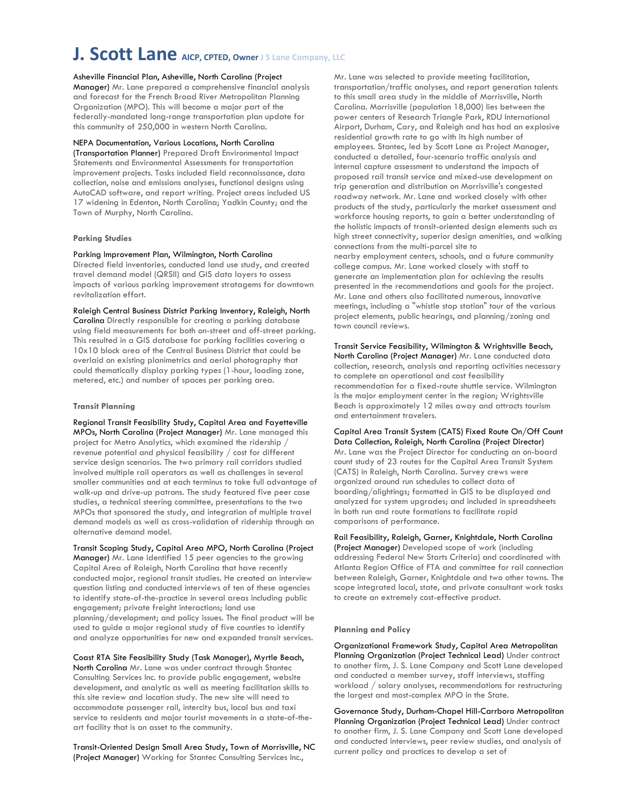#### Asheville Financial Plan, Asheville, North Carolina (Project

Manager) Mr. Lane prepared a comprehensive financial analysis and forecast for the French Broad River Metropolitan Planning Organization (MPO). This will become a major part of the federally-mandated long-range transportation plan update for this community of 250,000 in western North Carolina.

#### NEPA Documentation, Various Locations, North Carolina

(Transportation Planner) Prepared Draft Environmental Impact Statements and Environmental Assessments for transportation improvement projects. Tasks included field reconnaissance, data collection, noise and emissions analyses, functional designs using AutoCAD software, and report writing. Project areas included US 17 widening in Edenton, North Carolina; Yadkin County; and the Town of Murphy, North Carolina.

#### **Parking Studies**

#### Parking Improvement Plan, Wilmington, North Carolina

Directed field inventories, conducted land use study, and created travel demand model (QRSII) and GIS data layers to assess impacts of various parking improvement stratagems for downtown revitalization effort.

Raleigh Central Business District Parking Inventory, Raleigh, North

Carolina Directly responsible for creating a parking database using field measurements for both on-street and off-street parking. This resulted in a GIS database for parking facilities covering a 10x10 block area of the Central Business District that could be overlaid on existing planimetrics and aerial photography that could thematically display parking types (1-hour, loading zone, metered, etc.) and number of spaces per parking area.

#### **Transit Planning**

Regional Transit Feasibility Study, Capital Area and Fayetteville MPOs, North Carolina (Project Manager) Mr. Lane managed this project for Metro Analytics, which examined the ridership / revenue potential and physical feasibility / cost for different service design scenarios. The two primary rail corridors studied involved multiple rail operators as well as challenges in several smaller communities and at each terminus to take full advantage of walk-up and drive-up patrons. The study featured five peer case studies, a technical steering committee, presentations to the two MPOs that sponsored the study, and integration of multiple travel demand models as well as cross-validation of ridership through an alternative demand model.

Transit Scoping Study, Capital Area MPO, North Carolina (Project Manager) Mr. Lane identified 15 peer agencies to the growing Capital Area of Raleigh, North Carolina that have recently conducted major, regional transit studies. He created an interview question listing and conducted interviews of ten of these agencies to identify state-of-the-practice in several areas including public engagement; private freight interactions; land use planning/development; and policy issues. The final product will be used to guide a major regional study of five counties to identify and analyze opportunities for new and expanded transit services.

Coast RTA Site Feasibility Study (Task Manager), Myrtle Beach, North Carolina Mr. Lane was under contract through Stantec Consulting Services Inc. to provide public engagement, website development, and analytic as well as meeting facilitation skills to this site review and location study. The new site will need to accommodate passenger rail, intercity bus, local bus and taxi service to residents and major tourist movements in a state-of-theart facility that is an asset to the community.

Transit-Oriented Design Small Area Study, Town of Morrisville, NC (Project Manager) Working for Stantec Consulting Services Inc.,

Mr. Lane was selected to provide meeting facilitation, transportation/traffic analyses, and report generation talents to this small area study in the middle of Morrisville, North Carolina. Morrisville (population 18,000) lies between the power centers of Research Triangle Park, RDU International Airport, Durham, Cary, and Raleigh and has had an explosive residential growth rate to go with its high number of employees. Stantec, led by Scott Lane as Project Manager, conducted a detailed, four-scenario traffic analysis and internal capture assessment to understand the impacts of proposed rail transit service and mixed-use development on trip generation and distribution on Morrisville's congested roadway network. Mr. Lane and worked closely with other products of the study, particularly the market assessment and workforce housing reports, to gain a better understanding of the holistic impacts of transit-oriented design elements such as high street connectivity, superior design amenities, and walking connections from the multi-parcel site to nearby employment centers, schools, and a future community college campus. Mr. Lane worked closely with staff to generate an implementation plan for achieving the results presented in the recommendations and goals for the project. Mr. Lane and others also facilitated numerous, innovative meetings, including a "whistle stop station" tour of the various project elements, public hearings, and planning/zoning and town council reviews.

Transit Service Feasibility, Wilmington & Wrightsville Beach, North Carolina (Project Manager) Mr. Lane conducted data collection, research, analysis and reporting activities necessary to complete an operational and cost feasibility recommendation for a fixed-route shuttle service. Wilmington is the major employment center in the region; Wrightsville Beach is approximately 12 miles away and attracts tourism and entertainment travelers.

Capital Area Transit System (CATS) Fixed Route On/Off Count Data Collection, Raleigh, North Carolina (Project Director) Mr. Lane was the Project Director for conducting an on-board count study of 23 routes for the Capital Area Transit System (CATS) in Raleigh, North Carolina. Survey crews were organized around run schedules to collect data of boarding/alightings; formatted in GIS to be displayed and analyzed for system upgrades; and included in spreadsheets in both run and route formations to facilitate rapid comparisons of performance.

Rail Feasibility, Raleigh, Garner, Knightdale, North Carolina (Project Manager) Developed scope of work (including addressing Federal New Starts Criteria) and coordinated with Atlanta Region Office of FTA and committee for rail connection between Raleigh, Garner, Knightdale and two other towns. The scope integrated local, state, and private consultant work tasks to create an extremely cost-effective product.

#### **Planning and Policy**

Organizational Framework Study, Capital Area Metropolitan Planning Organization (Project Technical Lead) Under contract to another firm, J. S. Lane Company and Scott Lane developed and conducted a member survey, staff interviews, staffing workload / salary analyses, recommendations for restructuring the largest and most-complex MPO in the State.

Governance Study, Durham-Chapel Hill-Carrboro Metropolitan Planning Organization (Project Technical Lead) Under contract to another firm, J. S. Lane Company and Scott Lane developed and conducted interviews, peer review studies, and analysis of current policy and practices to develop a set of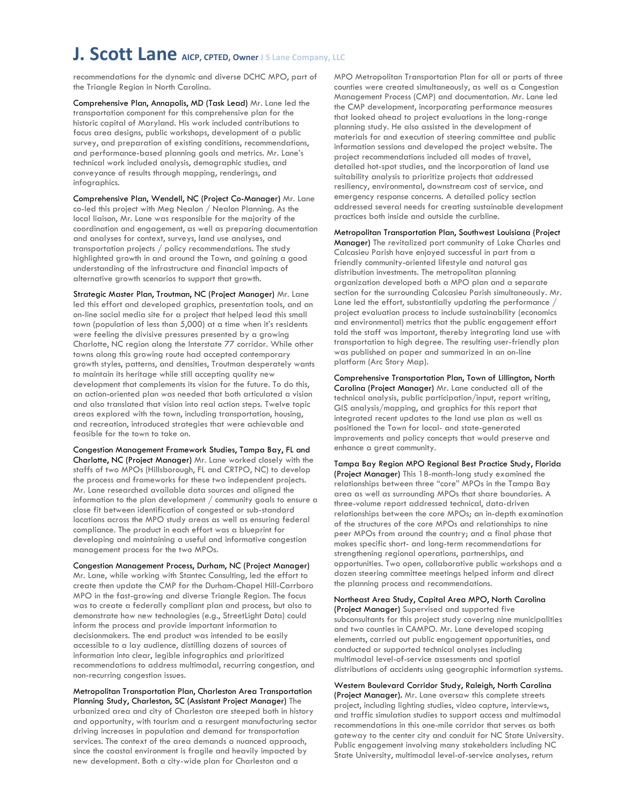recommendations for the dynamic and diverse DCHC MPO, part of the Triangle Region in North Carolina.

Comprehensive Plan, Annapolis, MD (Task Lead) Mr. Lane led the transportation component for this comprehensive plan for the historic capital of Maryland. His work included contributions to focus area designs, public workshops, development of a public survey, and preparation of existing conditions, recommendations, and performance-based planning goals and metrics. Mr. Lane's technical work included analysis, demographic studies, and conveyance of results through mapping, renderings, and infographics.

Comprehensive Plan, Wendell, NC (Project Co-Manager) Mr. Lane co-led this project with Meg Nealon / Nealon Planning. As the local liaison, Mr. Lane was responsible for the majority of the coordination and engagement, as well as preparing documentation and analyses for context, surveys, land use analyses, and transportation projects / policy recommendations. The study highlighted growth in and around the Town, and gaining a good understanding of the infrastructure and financial impacts of alternative growth scenarios to support that growth.

Strategic Master Plan, Troutman, NC (Project Manager) Mr. Lane led this effort and developed graphics, presentation tools, and an on-line social media site for a project that helped lead this small town (population of less than 5,000) at a time when it's residents were feeling the divisive pressures presented by a growing Charlotte, NC region along the Interstate 77 corridor. While other towns along this growing route had accepted contemporary growth styles, patterns, and densities, Troutman desperately wants to maintain its heritage while still accepting quality new development that complements its vision for the future. To do this, an action-oriented plan was needed that both articulated a vision and also translated that vision into real action steps. Twelve topic areas explored with the town, including transportation, housing, and recreation, introduced strategies that were achievable and feasible for the town to take on.

Congestion Management Framework Studies, Tampa Bay, FL and Charlotte, NC (Project Manager) Mr. Lane worked closely with the staffs of two MPOs (Hillsborough, FL and CRTPO, NC) to develop the process and frameworks for these two independent projects. Mr. Lane researched available data sources and aligned the information to the plan development / community goals to ensure a close fit between identification of congested or sub-standard locations across the MPO study areas as well as ensuring federal compliance. The product in each effort was a blueprint for developing and maintaining a useful and informative congestion management process for the two MPOs.

Congestion Management Process, Durham, NC (Project Manager) Mr. Lane, while working with Stantec Consulting, led the effort to create then update the CMP for the Durham-Chapel Hill-Carrboro MPO in the fast-growing and diverse Triangle Region. The focus was to create a federally compliant plan and process, but also to demonstrate how new technologies (e.g., StreetLight Data) could inform the process and provide important information to decisionmakers. The end product was intended to be easily accessible to a lay audience, distilling dozens of sources of information into clear, legible infographics and prioritized recommendations to address multimodal, recurring congestion, and non-recurring congestion issues.

Metropolitan Transportation Plan, Charleston Area Transportation Planning Study, Charleston, SC (Assistant Project Manager) The urbanized area and city of Charleston are steeped both in history and opportunity, with tourism and a resurgent manufacturing sector driving increases in population and demand for transportation services. The context of the area demands a nuanced approach, since the coastal environment is fragile and heavily impacted by new development. Both a city-wide plan for Charleston and a

MPO Metropolitan Transportation Plan for all or parts of three counties were created simultaneously, as well as a Congestion Management Process (CMP) and documentation. Mr. Lane led the CMP development, incorporating performance measures that looked ahead to project evaluations in the long-range planning study. He also assisted in the development of materials for and execution of steering committee and public information sessions and developed the project website. The project recommendations included all modes of travel, detailed hot-spot studies, and the incorporation of land use suitability analysis to prioritize projects that addressed resiliency, environmental, downstream cost of service, and emergency response concerns. A detailed policy section addressed several needs for creating sustainable development practices both inside and outside the curbline.

Metropolitan Transportation Plan, Southwest Louisiana (Project Manager) The revitalized port community of Lake Charles and Calcasieu Parish have enjoyed successful in part from a friendly community-oriented lifestyle and natural gas distribution investments. The metropolitan planning organization developed both a MPO plan and a separate section for the surrounding Calcasieu Parish simultaneously. Mr. Lane led the effort, substantially updating the performance / project evaluation process to include sustainability (economics and environmental) metrics that the public engagement effort told the staff was important, thereby integrating land use with transportation to high degree. The resulting user-friendly plan was published on paper and summarized in an on-line platform (Arc Story Map).

Comprehensive Transportation Plan, Town of Lillington, North Carolina (Project Manager) Mr. Lane conducted all of the technical analysis, public participation/input, report writing, GIS analysis/mapping, and graphics for this report that integrated recent updates to the land use plan as well as positioned the Town for local- and state-generated improvements and policy concepts that would preserve and enhance a great community.

Tampa Bay Region MPO Regional Best Practice Study, Florida (Project Manager) This 18-month-long study examined the relationships between three "core" MPOs in the Tampa Bay area as well as surrounding MPOs that share boundaries. A three-volume report addressed technical, data-driven relationships between the core MPOs; an in-depth examination of the structures of the core MPOs and relationships to nine peer MPOs from around the country; and a final phase that makes specific short- and long-term recommendations for strengthening regional operations, partnerships, and opportunities. Two open, collaborative public workshops and a dozen steering committee meetings helped inform and direct the planning process and recommendations.

Northeast Area Study, Capital Area MPO, North Carolina (Project Manager) Supervised and supported five subconsultants for this project study covering nine municipalities and two counties in CAMPO. Mr. Lane developed scoping elements, carried out public engagement opportunities, and conducted or supported technical analyses including multimodal level-of-service assessments and spatial distributions of accidents using geographic information systems.

Western Boulevard Corridor Study, Raleigh, North Carolina (Project Manager). Mr. Lane oversaw this complete streets project, including lighting studies, video capture, interviews, and traffic simulation studies to support access and multimodal recommendations in this one-mile corridor that serves as both gateway to the center city and conduit for NC State University. Public engagement involving many stakeholders including NC State University, multimodal level-of-service analyses, return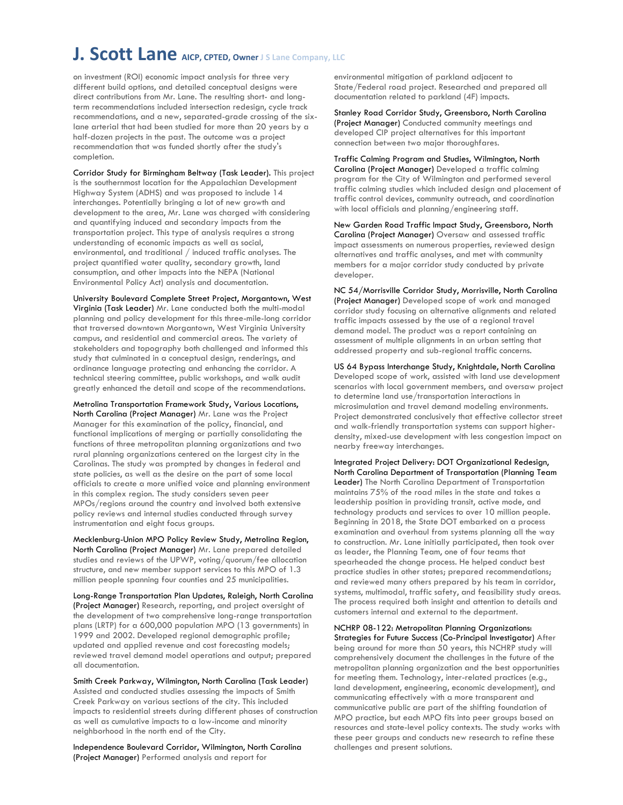on investment (ROI) economic impact analysis for three very different build options, and detailed conceptual designs were direct contributions from Mr. Lane. The resulting short- and longterm recommendations included intersection redesign, cycle track recommendations, and a new, separated-grade crossing of the sixlane arterial that had been studied for more than 20 years by a half-dozen projects in the past. The outcome was a project recommendation that was funded shortly after the study's completion.

Corridor Study for Birmingham Beltway (Task Leader). This project is the southernmost location for the Appalachian Development Highway System (ADHS) and was proposed to include 14 interchanges. Potentially bringing a lot of new growth and development to the area, Mr. Lane was charged with considering and quantifying induced and secondary impacts from the transportation project. This type of analysis requires a strong understanding of economic impacts as well as social, environmental, and traditional / induced traffic analyses. The project quantified water quality, secondary growth, land consumption, and other impacts into the NEPA (National Environmental Policy Act) analysis and documentation.

University Boulevard Complete Street Project, Morgantown, West Virginia (Task Leader) Mr. Lane conducted both the multi-modal planning and policy development for this three-mile-long corridor that traversed downtown Morgantown, West Virginia University campus, and residential and commercial areas. The variety of stakeholders and topography both challenged and informed this study that culminated in a conceptual design, renderings, and ordinance language protecting and enhancing the corridor. A technical steering committee, public workshops, and walk audit greatly enhanced the detail and scope of the recommendations.

Metrolina Transportation Framework Study, Various Locations, North Carolina (Project Manager) Mr. Lane was the Project Manager for this examination of the policy, financial, and functional implications of merging or partially consolidating the functions of three metropolitan planning organizations and two rural planning organizations centered on the largest city in the Carolinas. The study was prompted by changes in federal and state policies, as well as the desire on the part of some local officials to create a more unified voice and planning environment in this complex region. The study considers seven peer MPOs/regions around the country and involved both extensive policy reviews and internal studies conducted through survey instrumentation and eight focus groups.

Mecklenburg-Union MPO Policy Review Study, Metrolina Region, North Carolina (Project Manager) Mr. Lane prepared detailed studies and reviews of the UPWP, voting/quorum/fee allocation structure, and new member support services to this MPO of 1.3 million people spanning four counties and 25 municipalities.

Long-Range Transportation Plan Updates, Raleigh, North Carolina (Project Manager) Research, reporting, and project oversight of the development of two comprehensive long-range transportation plans (LRTP) for a 600,000 population MPO (13 governments) in 1999 and 2002. Developed regional demographic profile; updated and applied revenue and cost forecasting models; reviewed travel demand model operations and output; prepared all documentation.

Smith Creek Parkway, Wilmington, North Carolina (Task Leader) Assisted and conducted studies assessing the impacts of Smith Creek Parkway on various sections of the city. This included impacts to residential streets during different phases of construction as well as cumulative impacts to a low-income and minority neighborhood in the north end of the City.

Independence Boulevard Corridor, Wilmington, North Carolina (Project Manager) Performed analysis and report for

environmental mitigation of parkland adjacent to State/Federal road project. Researched and prepared all documentation related to parkland (4F) impacts.

Stanley Road Corridor Study, Greensboro, North Carolina (Project Manager) Conducted community meetings and developed CIP project alternatives for this important connection between two major thoroughfares.

Traffic Calming Program and Studies, Wilmington, North Carolina (Project Manager) Developed a traffic calming program for the City of Wilmington and performed several traffic calming studies which included design and placement of traffic control devices, community outreach, and coordination with local officials and planning/engineering staff.

New Garden Road Traffic Impact Study, Greensboro, North Carolina (Project Manager) Oversaw and assessed traffic impact assessments on numerous properties, reviewed design alternatives and traffic analyses, and met with community members for a major corridor study conducted by private developer.

NC 54/Morrisville Corridor Study, Morrisville, North Carolina (Project Manager) Developed scope of work and managed corridor study focusing on alternative alignments and related traffic impacts assessed by the use of a regional travel demand model. The product was a report containing an assessment of multiple alignments in an urban setting that addressed property and sub-regional traffic concerns.

US 64 Bypass Interchange Study, Knightdale, North Carolina Developed scope of work, assisted with land use development scenarios with local government members, and oversaw project to determine land use/transportation interactions in microsimulation and travel demand modeling environments. Project demonstrated conclusively that effective collector street and walk-friendly transportation systems can support higherdensity, mixed-use development with less congestion impact on nearby freeway interchanges.

Integrated Project Delivery: DOT Organizational Redesign, North Carolina Department of Transportation (Planning Team Leader) The North Carolina Department of Transportation maintains 75% of the road miles in the state and takes a leadership position in providing transit, active mode, and technology products and services to over 10 million people. Beginning in 2018, the State DOT embarked on a process examination and overhaul from systems planning all the way to construction. Mr. Lane initially participated, then took over as leader, the Planning Team, one of four teams that spearheaded the change process. He helped conduct best practice studies in other states; prepared recommendations; and reviewed many others prepared by his team in corridor, systems, multimodal, traffic safety, and feasibility study areas. The process required both insight and attention to details and customers internal and external to the department.

NCHRP 08-122: Metropolitan Planning Organizations: Strategies for Future Success (Co-Principal Investigator) After being around for more than 50 years, this NCHRP study will comprehensively document the challenges in the future of the metropolitan planning organization and the best opportunities for meeting them. Technology, inter-related practices (e.g., land development, engineering, economic development), and communicating effectively with a more transparent and communicative public are part of the shifting foundation of MPO practice, but each MPO fits into peer groups based on resources and state-level policy contexts. The study works with these peer groups and conducts new research to refine these challenges and present solutions.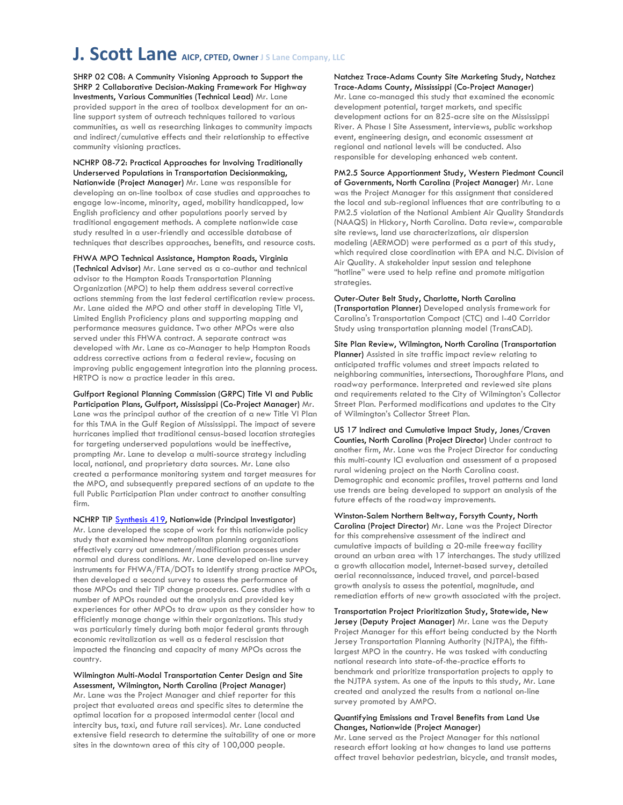SHRP 02 C08: A Community Visioning Approach to Support the SHRP 2 Collaborative Decision-Making Framework For Highway Investments, Various Communities (Technical Lead) Mr. Lane provided support in the area of toolbox development for an online support system of outreach techniques tailored to various communities, as well as researching linkages to community impacts and indirect/cumulative effects and their relationship to effective community visioning practices.

NCHRP 08-72: Practical Approaches for Involving Traditionally Underserved Populations in Transportation Decisionmaking, Nationwide (Project Manager) Mr. Lane was responsible for developing an on-line toolbox of case studies and approaches to engage low-income, minority, aged, mobility handicapped, low English proficiency and other populations poorly served by traditional engagement methods. A complete nationwide case study resulted in a user-friendly and accessible database of techniques that describes approaches, benefits, and resource costs.

FHWA MPO Technical Assistance, Hampton Roads, Virginia (Technical Advisor) Mr. Lane served as a co-author and technical advisor to the Hampton Roads Transportation Planning Organization (MPO) to help them address several corrective actions stemming from the last federal certification review process. Mr. Lane aided the MPO and other staff in developing Title VI, Limited English Proficiency plans and supporting mapping and performance measures guidance. Two other MPOs were also served under this FHWA contract. A separate contract was developed with Mr. Lane as co-Manager to help Hampton Roads address corrective actions from a federal review, focusing on improving public engagement integration into the planning process. HRTPO is now a practice leader in this area.

Gulfport Regional Planning Commission (GRPC) Title VI and Public Participation Plans, Gulfport, Mississippi (Co-Project Manager) Mr. Lane was the principal author of the creation of a new Title VI Plan for this TMA in the Gulf Region of Mississippi. The impact of severe hurricanes implied that traditional census-based location strategies for targeting underserved populations would be ineffective, prompting Mr. Lane to develop a multi-source strategy including local, national, and proprietary data sources. Mr. Lane also created a performance monitoring system and target measures for the MPO, and subsequently prepared sections of an update to the full Public Participation Plan under contract to another consulting firm.

NCHRP TIP **Synthesis 419**, Nationwide (Principal Investigator) Mr. Lane developed the scope of work for this nationwide policy study that examined how metropolitan planning organizations effectively carry out amendment/modification processes under normal and duress conditions. Mr. Lane developed on-line survey instruments for FHWA/FTA/DOTs to identify strong practice MPOs, then developed a second survey to assess the performance of those MPOs and their TIP change procedures. Case studies with a number of MPOs rounded out the analysis and provided key experiences for other MPOs to draw upon as they consider how to efficiently manage change within their organizations. This study was particularly timely during both major federal grants through economic revitalization as well as a federal rescission that impacted the financing and capacity of many MPOs across the country.

Wilmington Multi-Modal Transportation Center Design and Site Assessment, Wilmington, North Carolina (Project Manager) Mr. Lane was the Project Manager and chief reporter for this project that evaluated areas and specific sites to determine the optimal location for a proposed intermodal center (local and intercity bus, taxi, and future rail services). Mr. Lane conducted extensive field research to determine the suitability of one or more sites in the downtown area of this city of 100,000 people.

#### Natchez Trace-Adams County Site Marketing Study, Natchez Trace-Adams County, Mississippi (Co-Project Manager)

Mr. Lane co-managed this study that examined the economic development potential, target markets, and specific development actions for an 825-acre site on the Mississippi River. A Phase I Site Assessment, interviews, public workshop event, engineering design, and economic assessment at regional and national levels will be conducted. Also responsible for developing enhanced web content.

PM2.5 Source Apportionment Study, Western Piedmont Council of Governments, North Carolina (Project Manager) Mr. Lane was the Project Manager for this assignment that considered the local and sub-regional influences that are contributing to a PM2.5 violation of the National Ambient Air Quality Standards (NAAQS) in Hickory, North Carolina. Data review, comparable site reviews, land use characterizations, air dispersion modeling (AERMOD) were performed as a part of this study, which required close coordination with EPA and N.C. Division of Air Quality. A stakeholder input session and telephone "hotline" were used to help refine and promote mitigation strategies.

Outer-Outer Belt Study, Charlotte, North Carolina (Transportation Planner) Developed analysis framework for Carolina's Transportation Compact (CTC) and I-40 Corridor Study using transportation planning model (TransCAD).

Site Plan Review, Wilmington, North Carolina (Transportation Planner) Assisted in site traffic impact review relating to anticipated traffic volumes and street impacts related to neighboring communities, intersections, Thoroughfare Plans, and roadway performance. Interpreted and reviewed site plans and requirements related to the City of Wilmington's Collector Street Plan. Performed modifications and updates to the City of Wilmington's Collector Street Plan.

US 17 Indirect and Cumulative Impact Study, Jones/Craven Counties, North Carolina (Project Director) Under contract to another firm, Mr. Lane was the Project Director for conducting this multi-county ICI evaluation and assessment of a proposed rural widening project on the North Carolina coast. Demographic and economic profiles, travel patterns and land use trends are being developed to support an analysis of the future effects of the roadway improvements.

Winston-Salem Northern Beltway, Forsyth County, North Carolina (Project Director) Mr. Lane was the Project Director for this comprehensive assessment of the indirect and cumulative impacts of building a 20-mile freeway facility around an urban area with 17 interchanges. The study utilized a growth allocation model, Internet-based survey, detailed aerial reconnaissance, induced travel, and parcel-based growth analysis to assess the potential, magnitude, and remediation efforts of new growth associated with the project.

Transportation Project Prioritization Study, Statewide, New Jersey (Deputy Project Manager) Mr. Lane was the Deputy Project Manager for this effort being conducted by the North Jersey Transportation Planning Authority (NJTPA), the fifthlargest MPO in the country. He was tasked with conducting national research into state-of-the-practice efforts to benchmark and prioritize transportation projects to apply to the NJTPA system. As one of the inputs to this study, Mr. Lane created and analyzed the results from a national on-line survey promoted by AMPO.

#### Quantifying Emissions and Travel Benefits from Land Use Changes, Nationwide (Project Manager)

Mr. Lane served as the Project Manager for this national research effort looking at how changes to land use patterns affect travel behavior pedestrian, bicycle, and transit modes,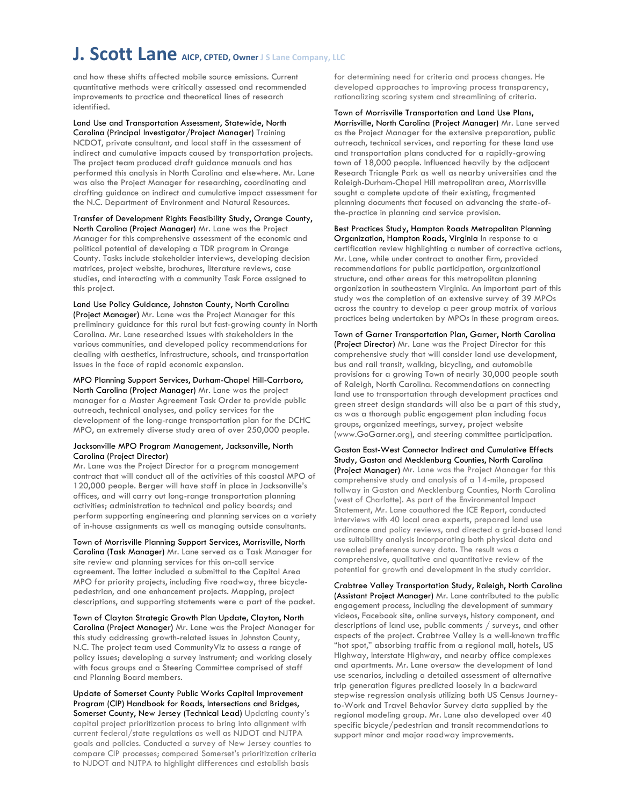and how these shifts affected mobile source emissions. Current quantitative methods were critically assessed and recommended improvements to practice and theoretical lines of research identified.

Land Use and Transportation Assessment, Statewide, North Carolina (Principal Investigator/Project Manager) Training NCDOT, private consultant, and local staff in the assessment of indirect and cumulative impacts caused by transportation projects. The project team produced draft guidance manuals and has performed this analysis in North Carolina and elsewhere. Mr. Lane was also the Project Manager for researching, coordinating and drafting guidance on indirect and cumulative impact assessment for the N.C. Department of Environment and Natural Resources.

Transfer of Development Rights Feasibility Study, Orange County,

North Carolina (Project Manager) Mr. Lane was the Project Manager for this comprehensive assessment of the economic and political potential of developing a TDR program in Orange County. Tasks include stakeholder interviews, developing decision matrices, project website, brochures, literature reviews, case studies, and interacting with a community Task Force assigned to this project.

Land Use Policy Guidance, Johnston County, North Carolina (Project Manager) Mr. Lane was the Project Manager for this preliminary guidance for this rural but fast-growing county in North Carolina. Mr. Lane researched issues with stakeholders in the various communities, and developed policy recommendations for dealing with aesthetics, infrastructure, schools, and transportation issues in the face of rapid economic expansion.

MPO Planning Support Services, Durham-Chapel Hill-Carrboro, North Carolina (Project Manager) Mr. Lane was the project manager for a Master Agreement Task Order to provide public outreach, technical analyses, and policy services for the development of the long-range transportation plan for the DCHC MPO, an extremely diverse study area of over 250,000 people.

#### Jacksonville MPO Program Management, Jacksonville, North Carolina (Project Director)

Mr. Lane was the Project Director for a program management contract that will conduct all of the activities of this coastal MPO of 120,000 people. Berger will have staff in place in Jacksonville's offices, and will carry out long-range transportation planning activities; administration to technical and policy boards; and perform supporting engineering and planning services on a variety of in-house assignments as well as managing outside consultants.

Town of Morrisville Planning Support Services, Morrisville, North Carolina (Task Manager) Mr. Lane served as a Task Manager for site review and planning services for this on-call service agreement. The latter included a submittal to the Capital Area MPO for priority projects, including five roadway, three bicyclepedestrian, and one enhancement projects. Mapping, project descriptions, and supporting statements were a part of the packet.

Town of Clayton Strategic Growth Plan Update, Clayton, North Carolina (Project Manager) Mr. Lane was the Project Manager for this study addressing growth-related issues in Johnston County, N.C. The project team used CommunityViz to assess a range of policy issues; developing a survey instrument; and working closely with focus groups and a Steering Committee comprised of staff and Planning Board members.

Update of Somerset County Public Works Capital Improvement Program (CIP) Handbook for Roads, Intersections and Bridges, Somerset County, New Jersey (Technical Lead) Updating county's capital project prioritization process to bring into alignment with current federal/state regulations as well as NJDOT and NJTPA goals and policies. Conducted a survey of New Jersey counties to compare CIP processes; compared Somerset's prioritization criteria to NJDOT and NJTPA to highlight differences and establish basis

for determining need for criteria and process changes. He developed approaches to improving process transparency, rationalizing scoring system and streamlining of criteria.

Town of Morrisville Transportation and Land Use Plans, Morrisville, North Carolina (Project Manager) Mr. Lane served as the Project Manager for the extensive preparation, public outreach, technical services, and reporting for these land use and transportation plans conducted for a rapidly-growing town of 18,000 people. Influenced heavily by the adjacent Research Triangle Park as well as nearby universities and the Raleigh-Durham-Chapel Hill metropolitan area, Morrisville sought a complete update of their existing, fragmented planning documents that focused on advancing the state-of-

the-practice in planning and service provision.

Best Practices Study, Hampton Roads Metropolitan Planning Organization, Hampton Roads, Virginia In response to a certification review highlighting a number of corrective actions, Mr. Lane, while under contract to another firm, provided recommendations for public participation, organizational structure, and other areas for this metropolitan planning organization in southeastern Virginia. An important part of this study was the completion of an extensive survey of 39 MPOs across the country to develop a peer group matrix of various practices being undertaken by MPOs in these program areas.

Town of Garner Transportation Plan, Garner, North Carolina (Project Director) Mr. Lane was the Project Director for this comprehensive study that will consider land use development, bus and rail transit, walking, bicycling, and automobile provisions for a growing Town of nearly 30,000 people south of Raleigh, North Carolina. Recommendations on connecting land use to transportation through development practices and green street design standards will also be a part of this study, as was a thorough public engagement plan including focus groups, organized meetings, survey, project website (www.GoGarner.org), and steering committee participation.

Gaston East-West Connector Indirect and Cumulative Effects Study, Gaston and Mecklenburg Counties, North Carolina (Project Manager) Mr. Lane was the Project Manager for this comprehensive study and analysis of a 14-mile, proposed tollway in Gaston and Mecklenburg Counties, North Carolina (west of Charlotte). As part of the Environmental Impact Statement, Mr. Lane coauthored the ICE Report, conducted interviews with 40 local area experts, prepared land use ordinance and policy reviews, and directed a grid-based land use suitability analysis incorporating both physical data and revealed preference survey data. The result was a comprehensive, qualitative and quantitative review of the potential for growth and development in the study corridor.

Crabtree Valley Transportation Study, Raleigh, North Carolina (Assistant Project Manager) Mr. Lane contributed to the public engagement process, including the development of summary videos, Facebook site, online surveys, history component, and descriptions of land use, public comments / surveys, and other aspects of the project. Crabtree Valley is a well-known traffic "hot spot," absorbing traffic from a regional mall, hotels, US Highway, Interstate Highway, and nearby office complexes and apartments. Mr. Lane oversaw the development of land use scenarios, including a detailed assessment of alternative trip generation figures predicted loosely in a backward stepwise regression analysis utilizing both US Census Journeyto-Work and Travel Behavior Survey data supplied by the regional modeling group. Mr. Lane also developed over 40 specific bicycle/pedestrian and transit recommendations to support minor and major roadway improvements.